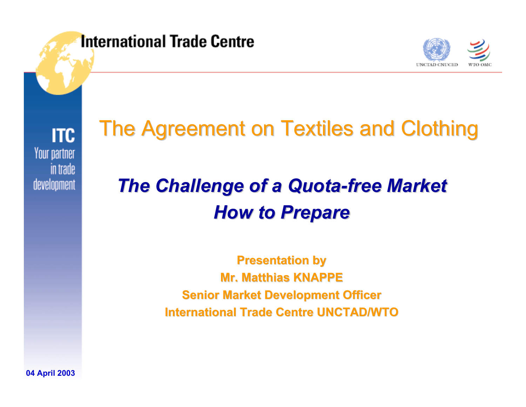International Trade Centre



**ITC** Your partner in trade development

# The Agreement on Textiles and Clothing

# *The Challenge of a Quota The Challenge of a Quota-free Market free Market How to Prepare How to Prepare*

**Presentation by Mr. Matthias KNAPPE Mr. Matthias KNAPPESenior Market Development Officer International Trade Centre UNCTAD/WTO International Trade Centre UNCTAD/WTO**

**04 April 2003**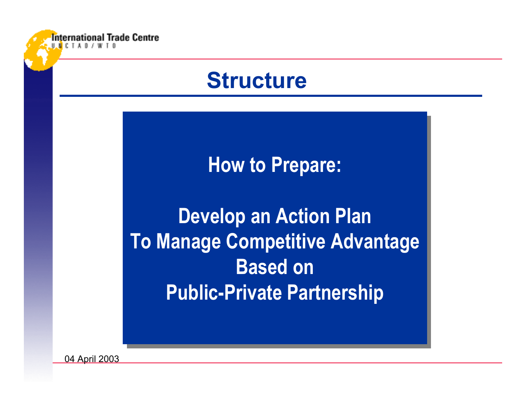

## **Structure**

## **How to Prepare: How to Prepare:**

# **Develop an Action Plan Develop an Action Plan To Manage Competitive Advantage To Manage Competitive Advantage Based on Public-Private Partnership Public-Private Partnership**

04 April 2003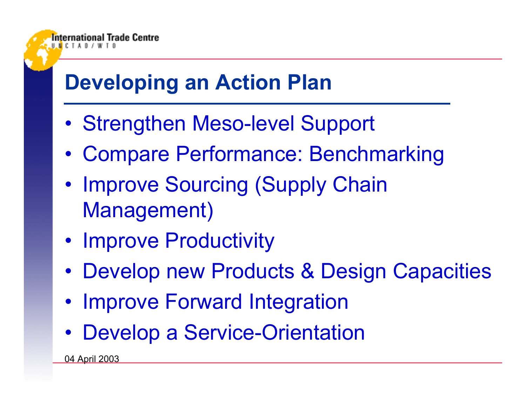## **Developing an Action Plan**

- •Strengthen Meso-level Support
- $\bullet$ Compare Performance: Benchmarking
- • Improve Sourcing (Supply Chain Management)
- Improve Productivity
- •Develop new Products & Design Capacities
- Improve Forward Integration
- •Develop a Service-Orientation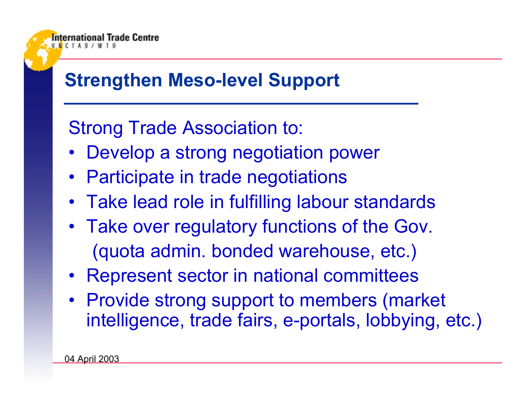#### **Strengthen Meso-level Support**

#### Strong Trade Association to:

- Develop a strong negotiation power
- Participate in trade negotiations
- Take lead role in fulfilling labour standards
- Take over regulatory functions of the Gov. (quota admin. bonded warehouse, etc.)
- Represent sector in national committees
- Provide strong support to members (market intelligence, trade fairs, e-portals, lobbying, etc.)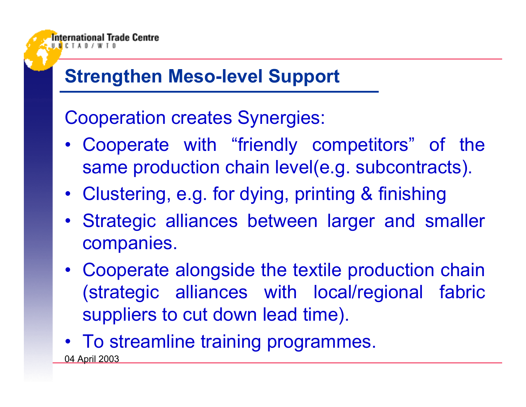#### **Strengthen Meso-level Support**

Cooperation creates Synergies:

- Cooperate with "friendly competitors" of the same production chain level(e.g. subcontracts).
- Clustering, e.g. for dying, printing & finishing
- Strategic alliances between larger and smaller companies.
- Cooperate alongside the textile production chain (strategic alliances with local/regional fabric suppliers to cut down lead time).
- To streamline training programmes.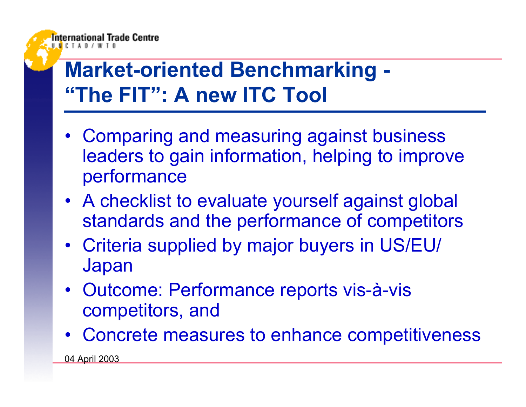

- Comparing and measuring against business leaders to gain information, helping to improve performance
- A checklist to evaluate yourself against global standards and the performance of competitors
- Criteria supplied by major buyers in US/EU/ **Japan**
- Outcome: Performance reports vis-à-vis competitors, and
- Concrete measures to enhance competitiveness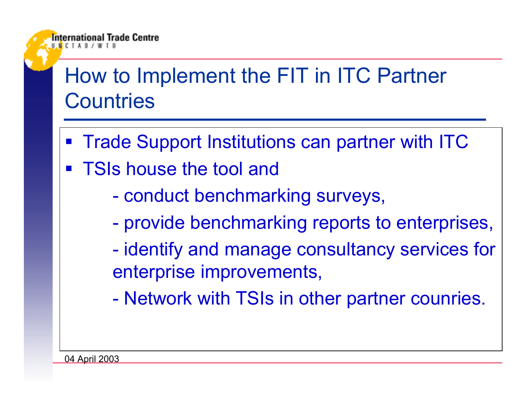# How to Implement the FIT in ITC Partner **Countries**

- Trade Support Institutions can partner with ITC
- TSIs house the tool and

mational Trade Centre

- $\mathcal{L}_{\mathcal{A}}$ conduct benchmarking surveys,
- provide benchmarking reports to enterprises,
- $\mathcal{L}_{\mathcal{A}}$  identify and manage consultancy services for enterprise improvements,
- $\mathcal{L}_{\mathcal{A}}$ Network with TSIs in other partner counries.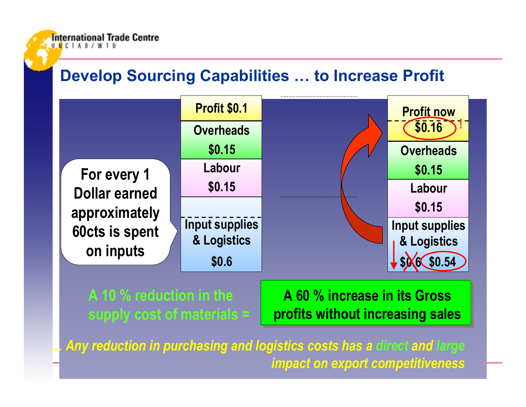#### **Develop Sourcing Capabilities … to Increase Profit**



**A 10 % reduction in the supply cost of materials =**

International Trade Centre

UMCTADIW

**A 60 % increase in its Gross profits without increasing sales**

*… Any reduction in purchasing and logistics costs has a direct and large impact on export competitiveness*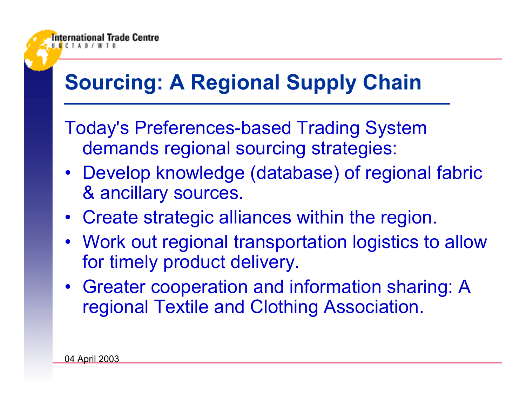# **Sourcing: A Regional Supply Chain**

- Today's Preferences-based Trading System demands regional sourcing strategies:
- Develop knowledge (database) of regional fabric & ancillary sources.
- Create strategic alliances within the region.
- Work out regional transportation logistics to allow for timely product delivery.
- Greater cooperation and information sharing: A regional Textile and Clothing Association.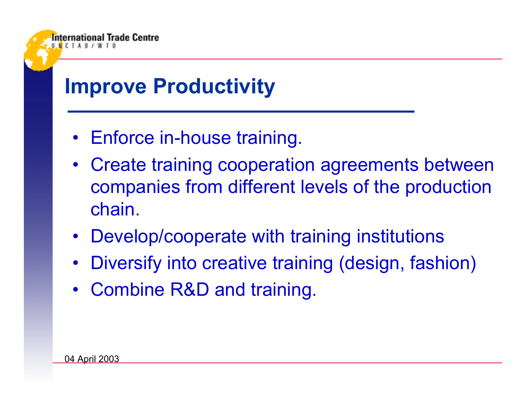## **Improve Productivity**

- Enforce in-house training.
- Create training cooperation agreements between companies from different levels of the production chain.
- Develop/cooperate with training institutions
- $\bullet$ Diversify into creative training (design, fashion)
- Combine R&D and training.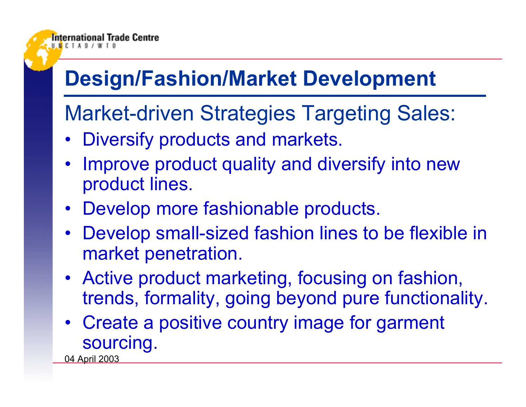# **Design/Fashion/Market Development**

Market-driven Strategies Targeting Sales:

- Diversify products and markets.
- • Improve product quality and diversify into new product lines.
- Develop more fashionable products.
- Develop small-sized fashion lines to be flexible in market penetration.
- Active product marketing, focusing on fashion, trends, formality, going beyond pure functionality.
- Create a positive country image for garment sourcing.

04 April 2003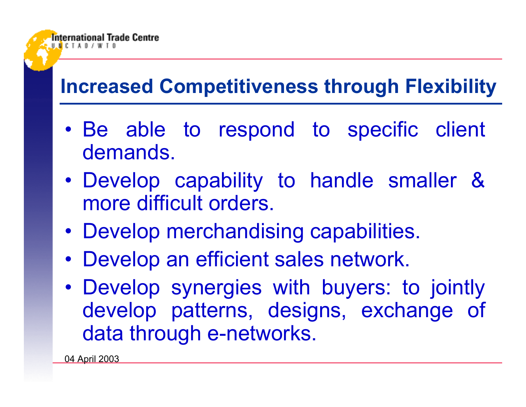#### **Increased Competitiveness through Flexibility**

- • Be able to respond to specific client demands.
- • Develop capability to handle smaller & more difficult orders.
- Develop merchandising capabilities.
- •Develop an efficient sales network.
- Develop synergies with buyers: to jointly develop patterns, designs, exchange of data through e-networks.

04 April 2003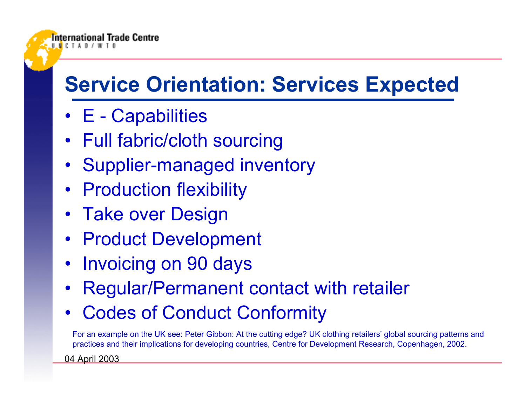# **Service Orientation: Services Expected**

• E - Capabilities

International Trade Centre

- Full fabric/cloth sourcing
- Supplier-managed inventory
- Production flexibility
- Take over Design
- Product Development
- Invoicing on 90 days
- •Regular/Permanent contact with retailer
- Codes of Conduct Conformity

For an example on the UK see: Peter Gibbon: At the cutting edge? UK clothing retailers' global sourcing patterns and practices and their implications for developing countries, Centre for Development Research, Copenhagen, 2002.

04 April 2003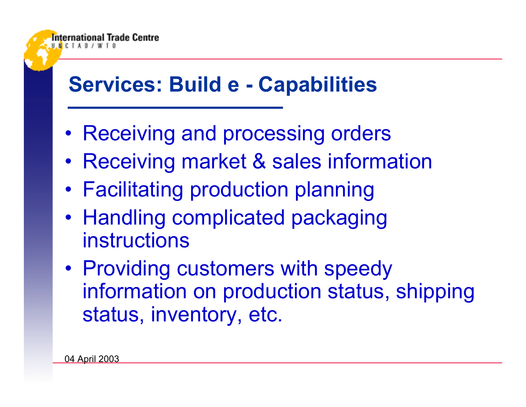#### **Services: Build e - Capabilities**

- Receiving and processing orders
- •Receiving market & sales information
- Facilitating production planning
- Handling complicated packaging instructions
- Providing customers with speedy information on production status, shipping status, inventory, etc.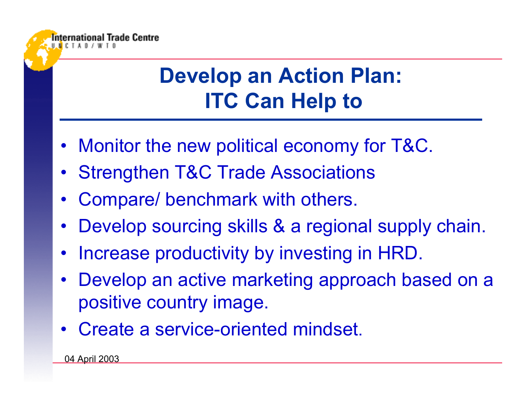

- •Monitor the new political economy for T&C.
- •Strengthen T&C Trade Associations
- •Compare/ benchmark with others.
- •Develop sourcing skills & a regional supply chain.
- •Increase productivity by investing in HRD.
- • Develop an active marketing approach based on a positive country image.
- Create a service-oriented mindset.

**Trade Centre**